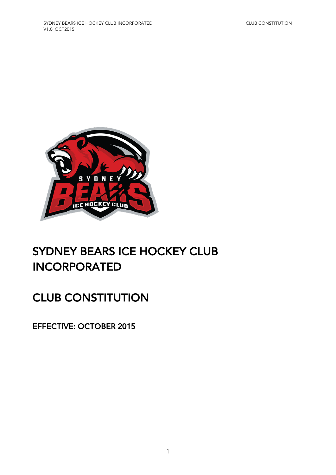

# SYDNEY BEARS ICE HOCKEY CLUB INCORPORATED

# **CLUB CONSTITUTION**

EFFECTIVE: OCTOBER 2015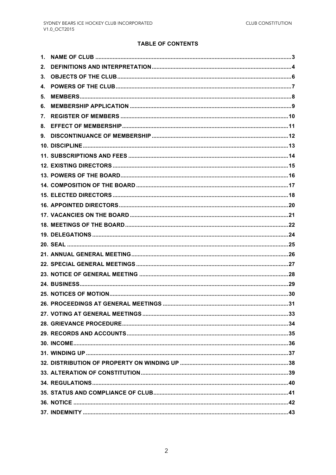#### **TABLE OF CONTENTS**

| 1. |  |
|----|--|
| 2. |  |
| 3. |  |
| 4. |  |
| 5. |  |
| 6. |  |
| 7. |  |
| 8. |  |
| 9. |  |
|    |  |
|    |  |
|    |  |
|    |  |
|    |  |
|    |  |
|    |  |
|    |  |
|    |  |
|    |  |
|    |  |
|    |  |
|    |  |
|    |  |
|    |  |
|    |  |
|    |  |
|    |  |
|    |  |
|    |  |
|    |  |
|    |  |
|    |  |
|    |  |
|    |  |
|    |  |
|    |  |
|    |  |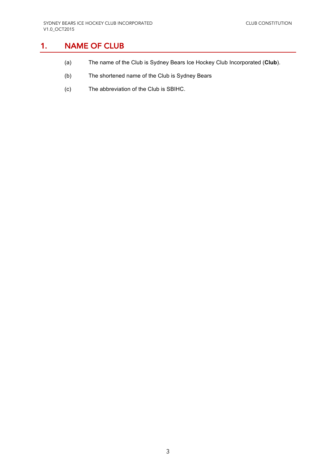# 1. NAME OF CLUB

- (a) The name of the Club is Sydney Bears Ice Hockey Club Incorporated (**Club**).
- (b) The shortened name of the Club is Sydney Bears
- (c) The abbreviation of the Club is SBIHC.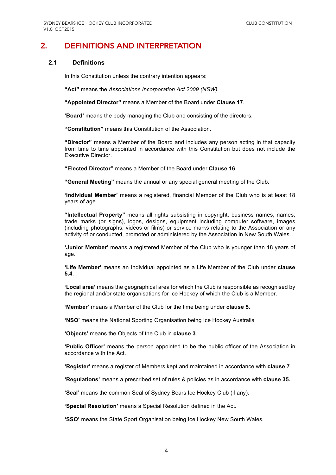### 2. DEFINITIONS AND INTERPRETATION

#### **2.1 Definitions**

In this Constitution unless the contrary intention appears:

**"Act"** means the *Associations Incorporation Act 2009 (NSW)*.

**"Appointed Director"** means a Member of the Board under **Clause 17**.

**'Board'** means the body managing the Club and consisting of the directors.

**"Constitution"** means this Constitution of the Association.

**"Director"** means a Member of the Board and includes any person acting in that capacity from time to time appointed in accordance with this Constitution but does not include the Executive Director.

**"Elected Director"** means a Member of the Board under **Clause 16**.

**"General Meeting"** means the annual or any special general meeting of the Club.

**'Individual Member'** means a registered, financial Member of the Club who is at least 18 years of age.

**"Intellectual Property"** means all rights subsisting in copyright, business names, names, trade marks (or signs), logos, designs, equipment including computer software, images (including photographs, videos or films) or service marks relating to the Association or any activity of or conducted, promoted or administered by the Association in New South Wales.

**'Junior Member'** means a registered Member of the Club who is younger than 18 years of age.

**'Life Member'** means an Individual appointed as a Life Member of the Club under **clause 5.4**.

**'Local area'** means the geographical area for which the Club is responsible as recognised by the regional and/or state organisations for Ice Hockey of which the Club is a Member.

**'Member'** means a Member of the Club for the time being under **clause 5**.

**'NSO'** means the National Sporting Organisation being Ice Hockey Australia

**'Objects'** means the Objects of the Club in **clause 3**.

**'Public Officer'** means the person appointed to be the public officer of the Association in accordance with the Act.

**'Register'** means a register of Members kept and maintained in accordance with **clause 7**.

**'Regulations'** means a prescribed set of rules & policies as in accordance with **clause 35.**

**'Seal'** means the common Seal of Sydney Bears Ice Hockey Club (if any).

**'Special Resolution'** means a Special Resolution defined in the Act.

**'SSO'** means the State Sport Organisation being Ice Hockey New South Wales.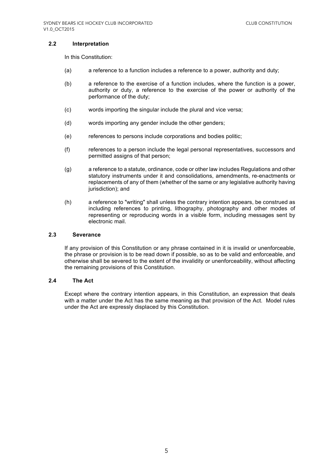#### **2.2 Interpretation**

In this Constitution:

- (a) a reference to a function includes a reference to a power, authority and duty;
- (b) a reference to the exercise of a function includes, where the function is a power, authority or duty, a reference to the exercise of the power or authority of the performance of the duty;
- (c) words importing the singular include the plural and vice versa;
- (d) words importing any gender include the other genders;
- (e) references to persons include corporations and bodies politic;
- (f) references to a person include the legal personal representatives, successors and permitted assigns of that person;
- (g) a reference to a statute, ordinance, code or other law includes Regulations and other statutory instruments under it and consolidations, amendments, re-enactments or replacements of any of them (whether of the same or any legislative authority having jurisdiction); and
- (h) a reference to "writing" shall unless the contrary intention appears, be construed as including references to printing, lithography, photography and other modes of representing or reproducing words in a visible form, including messages sent by electronic mail.

#### **2.3 Severance**

If any provision of this Constitution or any phrase contained in it is invalid or unenforceable, the phrase or provision is to be read down if possible, so as to be valid and enforceable, and otherwise shall be severed to the extent of the invalidity or unenforceability, without affecting the remaining provisions of this Constitution.

#### **2.4 The Act**

Except where the contrary intention appears, in this Constitution, an expression that deals with a matter under the Act has the same meaning as that provision of the Act. Model rules under the Act are expressly displaced by this Constitution.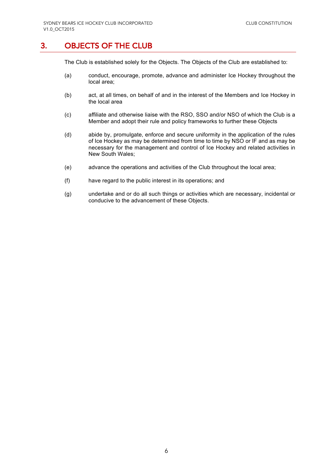### 3. OBJECTS OF THE CLUB

The Club is established solely for the Objects. The Objects of the Club are established to:

- (a) conduct, encourage, promote, advance and administer Ice Hockey throughout the local area;
- (b) act, at all times, on behalf of and in the interest of the Members and Ice Hockey in the local area
- (c) affiliate and otherwise liaise with the RSO, SSO and/or NSO of which the Club is a Member and adopt their rule and policy frameworks to further these Objects
- (d) abide by, promulgate, enforce and secure uniformity in the application of the rules of Ice Hockey as may be determined from time to time by NSO or IF and as may be necessary for the management and control of Ice Hockey and related activities in New South Wales;
- (e) advance the operations and activities of the Club throughout the local area;
- (f) have regard to the public interest in its operations; and
- (g) undertake and or do all such things or activities which are necessary, incidental or conducive to the advancement of these Objects.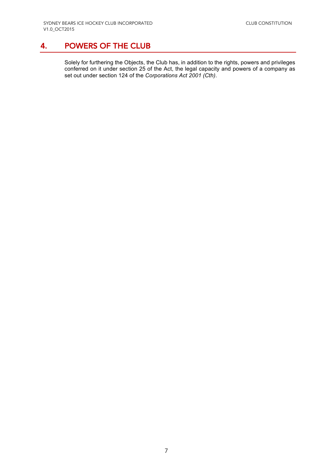# 4. POWERS OF THE CLUB

Solely for furthering the Objects, the Club has, in addition to the rights, powers and privileges conferred on it under section 25 of the Act, the legal capacity and powers of a company as set out under section 124 of the *Corporations Act 2001 (Cth)*.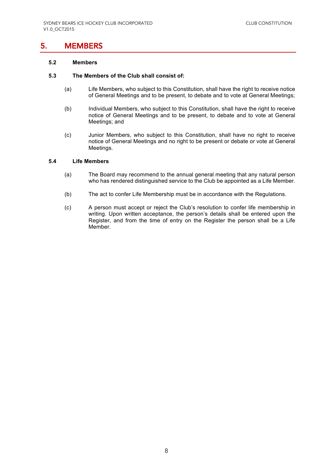### 5. MEMBERS

#### **5.2 Members**

#### **5.3 The Members of the Club shall consist of:**

- (a) Life Members, who subject to this Constitution, shall have the right to receive notice of General Meetings and to be present, to debate and to vote at General Meetings;
- (b) Individual Members, who subject to this Constitution, shall have the right to receive notice of General Meetings and to be present, to debate and to vote at General Meetings; and
- (c) Junior Members, who subject to this Constitution, shall have no right to receive notice of General Meetings and no right to be present or debate or vote at General Meetings.

#### **5.4 Life Members**

- (a) The Board may recommend to the annual general meeting that any natural person who has rendered distinguished service to the Club be appointed as a Life Member.
- (b) The act to confer Life Membership must be in accordance with the Regulations.
- (c) A person must accept or reject the Club's resolution to confer life membership in writing. Upon written acceptance, the person's details shall be entered upon the Register, and from the time of entry on the Register the person shall be a Life Member.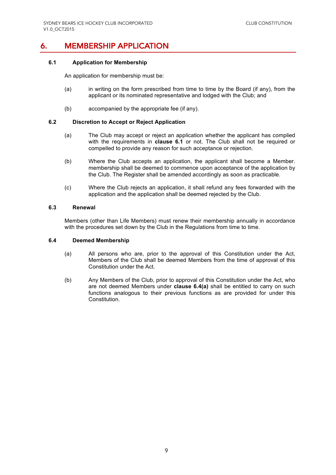# 6. MEMBERSHIP APPLICATION

#### **6.1 Application for Membership**

An application for membership must be:

- (a) in writing on the form prescribed from time to time by the Board (if any), from the applicant or its nominated representative and lodged with the Club; and
- (b) accompanied by the appropriate fee (if any).

#### **6.2 Discretion to Accept or Reject Application**

- (a) The Club may accept or reject an application whether the applicant has complied with the requirements in **clause 6.1** or not. The Club shall not be required or compelled to provide any reason for such acceptance or rejection.
- (b) Where the Club accepts an application, the applicant shall become a Member. membership shall be deemed to commence upon acceptance of the application by the Club. The Register shall be amended accordingly as soon as practicable.
- (c) Where the Club rejects an application, it shall refund any fees forwarded with the application and the application shall be deemed rejected by the Club.

#### **6.3 Renewal**

Members (other than Life Members) must renew their membership annually in accordance with the procedures set down by the Club in the Regulations from time to time.

#### **6.4 Deemed Membership**

- (a) All persons who are, prior to the approval of this Constitution under the Act, Members of the Club shall be deemed Members from the time of approval of this Constitution under the Act.
- (b) Any Members of the Club, prior to approval of this Constitution under the Act, who are not deemed Members under **clause 6.4(a)** shall be entitled to carry on such functions analogous to their previous functions as are provided for under this Constitution.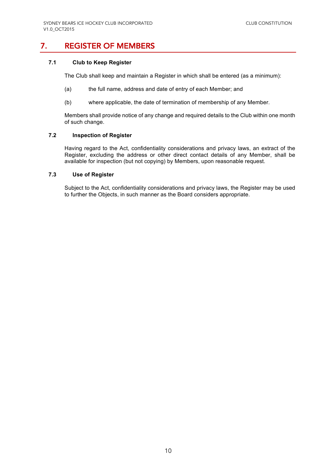# 7. REGISTER OF MEMBERS

#### **7.1 Club to Keep Register**

The Club shall keep and maintain a Register in which shall be entered (as a minimum):

- (a) the full name, address and date of entry of each Member; and
- (b) where applicable, the date of termination of membership of any Member.

Members shall provide notice of any change and required details to the Club within one month of such change.

#### **7.2 Inspection of Register**

Having regard to the Act, confidentiality considerations and privacy laws, an extract of the Register, excluding the address or other direct contact details of any Member, shall be available for inspection (but not copying) by Members, upon reasonable request.

#### **7.3 Use of Register**

Subject to the Act, confidentiality considerations and privacy laws, the Register may be used to further the Objects, in such manner as the Board considers appropriate.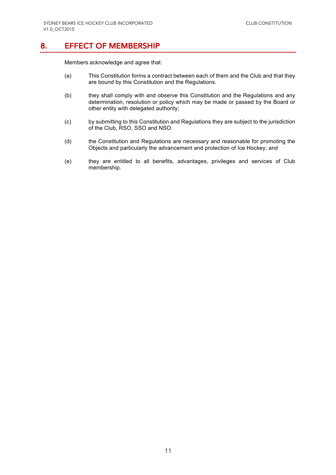### 8. EFFECT OF MEMBERSHIP

Members acknowledge and agree that:

- (a) This Constitution forms a contract between each of them and the Club and that they are bound by this Constitution and the Regulations.
- (b) they shall comply with and observe this Constitution and the Regulations and any determination, resolution or policy which may be made or passed by the Board or other entity with delegated authority;
- (c) by submitting to this Constitution and Regulations they are subject to the jurisdiction of the Club, RSO, SSO and NSO.
- (d) the Constitution and Regulations are necessary and reasonable for promoting the Objects and particularly the advancement and protection of Ice Hockey; and
- (e) they are entitled to all benefits, advantages, privileges and services of Club membership.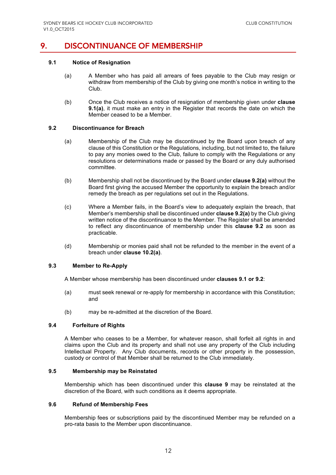## 9. DISCONTINUANCE OF MEMBERSHIP

#### **9.1 Notice of Resignation**

- (a) A Member who has paid all arrears of fees payable to the Club may resign or withdraw from membership of the Club by giving one month's notice in writing to the Club.
- (b) Once the Club receives a notice of resignation of membership given under **clause 9.1(a)**, it must make an entry in the Register that records the date on which the Member ceased to be a Member.

#### **9.2 Discontinuance for Breach**

- (a) Membership of the Club may be discontinued by the Board upon breach of any clause of this Constitution or the Regulations, including, but not limited to, the failure to pay any monies owed to the Club, failure to comply with the Regulations or any resolutions or determinations made or passed by the Board or any duly authorised committee.
- (b) Membership shall not be discontinued by the Board under **clause 9.2(a)** without the Board first giving the accused Member the opportunity to explain the breach and/or remedy the breach as per regulations set out in the Regulations.
- (c) Where a Member fails, in the Board's view to adequately explain the breach, that Member's membership shall be discontinued under **clause 9.2(a)** by the Club giving written notice of the discontinuance to the Member. The Register shall be amended to reflect any discontinuance of membership under this **clause 9.2** as soon as practicable.
- (d) Membership or monies paid shall not be refunded to the member in the event of a breach under **clause 10.2(a)**.

#### **9.3 Member to Re-Apply**

A Member whose membership has been discontinued under **clauses 9.1 or 9.2**:

- (a) must seek renewal or re-apply for membership in accordance with this Constitution; and
- (b) may be re-admitted at the discretion of the Board.

#### **9.4 Forfeiture of Rights**

A Member who ceases to be a Member, for whatever reason, shall forfeit all rights in and claims upon the Club and its property and shall not use any property of the Club including Intellectual Property. Any Club documents, records or other property in the possession, custody or control of that Member shall be returned to the Club immediately.

#### **9.5 Membership may be Reinstated**

Membership which has been discontinued under this **clause 9** may be reinstated at the discretion of the Board, with such conditions as it deems appropriate.

#### **9.6 Refund of Membership Fees**

Membership fees or subscriptions paid by the discontinued Member may be refunded on a pro-rata basis to the Member upon discontinuance.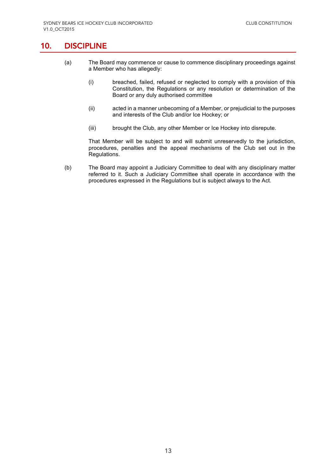## 10. DISCIPLINE

- (a) The Board may commence or cause to commence disciplinary proceedings against a Member who has allegedly:
	- (i) breached, failed, refused or neglected to comply with a provision of this Constitution, the Regulations or any resolution or determination of the Board or any duly authorised committee
	- (ii) acted in a manner unbecoming of a Member, or prejudicial to the purposes and interests of the Club and/or Ice Hockey; or
	- (iii) brought the Club, any other Member or Ice Hockey into disrepute.

That Member will be subject to and will submit unreservedly to the jurisdiction, procedures, penalties and the appeal mechanisms of the Club set out in the Regulations.

(b) The Board may appoint a Judiciary Committee to deal with any disciplinary matter referred to it. Such a Judiciary Committee shall operate in accordance with the procedures expressed in the Regulations but is subject always to the Act.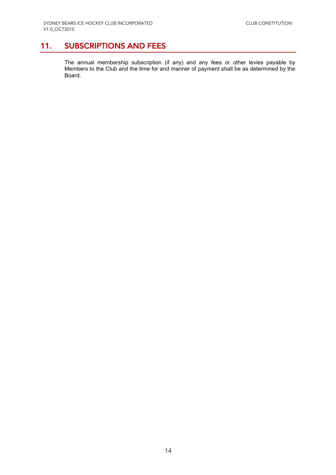# 11. SUBSCRIPTIONS AND FEES

The annual membership subscription (if any) and any fees or other levies payable by Members to the Club and the time for and manner of payment shall be as determined by the Board.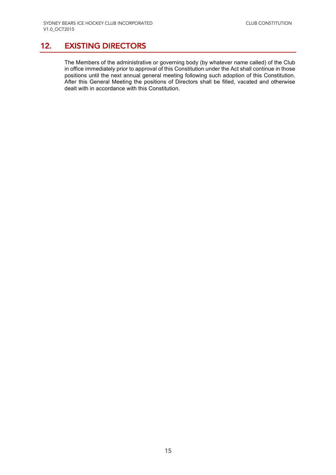# 12. EXISTING DIRECTORS

The Members of the administrative or governing body (by whatever name called) of the Club in office immediately prior to approval of this Constitution under the Act shall continue in those positions until the next annual general meeting following such adoption of this Constitution. After this General Meeting the positions of Directors shall be filled, vacated and otherwise dealt with in accordance with this Constitution.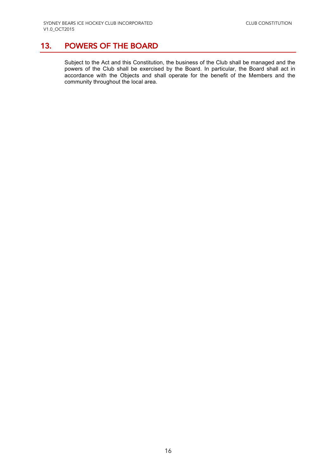# 13. POWERS OF THE BOARD

Subject to the Act and this Constitution, the business of the Club shall be managed and the powers of the Club shall be exercised by the Board. In particular, the Board shall act in accordance with the Objects and shall operate for the benefit of the Members and the community throughout the local area.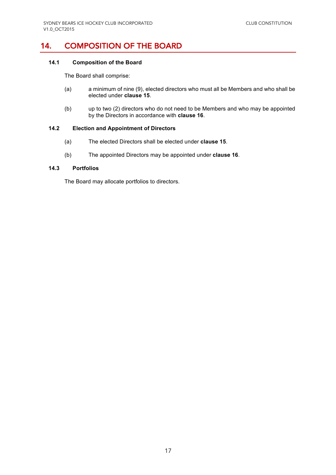# 14. COMPOSITION OF THE BOARD

#### **14.1 Composition of the Board**

The Board shall comprise:

- (a) a minimum of nine (9), elected directors who must all be Members and who shall be elected under **clause 15**.
- (b) up to two (2) directors who do not need to be Members and who may be appointed by the Directors in accordance with **clause 16**.

#### **14.2 Election and Appointment of Directors**

- (a) The elected Directors shall be elected under **clause 15**.
- (b) The appointed Directors may be appointed under **clause 16**.

#### **14.3 Portfolios**

The Board may allocate portfolios to directors.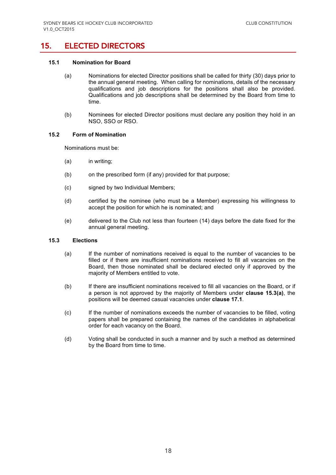# 15. ELECTED DIRECTORS

#### **15.1 Nomination for Board**

- (a) Nominations for elected Director positions shall be called for thirty (30) days prior to the annual general meeting. When calling for nominations, details of the necessary qualifications and job descriptions for the positions shall also be provided. Qualifications and job descriptions shall be determined by the Board from time to time.
- (b) Nominees for elected Director positions must declare any position they hold in an NSO, SSO or RSO.

#### **15.2 Form of Nomination**

Nominations must be:

- (a) in writing;
- (b) on the prescribed form (if any) provided for that purpose;
- (c) signed by two Individual Members;
- (d) certified by the nominee (who must be a Member) expressing his willingness to accept the position for which he is nominated; and
- (e) delivered to the Club not less than fourteen (14) days before the date fixed for the annual general meeting.

#### **15.3 Elections**

- (a) If the number of nominations received is equal to the number of vacancies to be filled or if there are insufficient nominations received to fill all vacancies on the Board, then those nominated shall be declared elected only if approved by the majority of Members entitled to vote.
- (b) If there are insufficient nominations received to fill all vacancies on the Board, or if a person is not approved by the majority of Members under **clause 15.3(a)**, the positions will be deemed casual vacancies under **clause 17.1**.
- (c) If the number of nominations exceeds the number of vacancies to be filled, voting papers shall be prepared containing the names of the candidates in alphabetical order for each vacancy on the Board.
- (d) Voting shall be conducted in such a manner and by such a method as determined by the Board from time to time.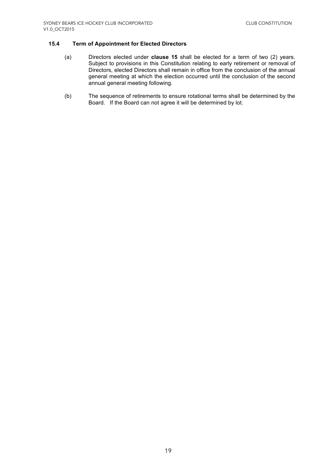#### **15.4 Term of Appointment for Elected Directors**

- (a) Directors elected under **clause 15** shall be elected for a term of two (2) years. Subject to provisions in this Constitution relating to early retirement or removal of Directors, elected Directors shall remain in office from the conclusion of the annual general meeting at which the election occurred until the conclusion of the second annual general meeting following.
- (b) The sequence of retirements to ensure rotational terms shall be determined by the Board. If the Board can not agree it will be determined by lot.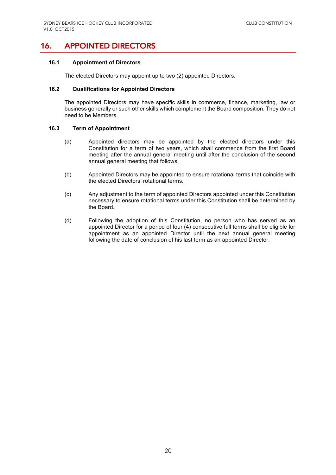## 16. APPOINTED DIRECTORS

#### **16.1 Appointment of Directors**

The elected Directors may appoint up to two (2) appointed Directors.

#### **16.2 Qualifications for Appointed Directors**

The appointed Directors may have specific skills in commerce, finance, marketing, law or business generally or such other skills which complement the Board composition. They do not need to be Members.

#### **16.3 Term of Appointment**

- (a) Appointed directors may be appointed by the elected directors under this Constitution for a term of two years, which shall commence from the first Board meeting after the annual general meeting until after the conclusion of the second annual general meeting that follows.
- (b) Appointed Directors may be appointed to ensure rotational terms that coincide with the elected Directors' rotational terms.
- (c) Any adjustment to the term of appointed Directors appointed under this Constitution necessary to ensure rotational terms under this Constitution shall be determined by the Board.
- (d) Following the adoption of this Constitution, no person who has served as an appointed Director for a period of four (4) consecutive full terms shall be eligible for appointment as an appointed Director until the next annual general meeting following the date of conclusion of his last term as an appointed Director.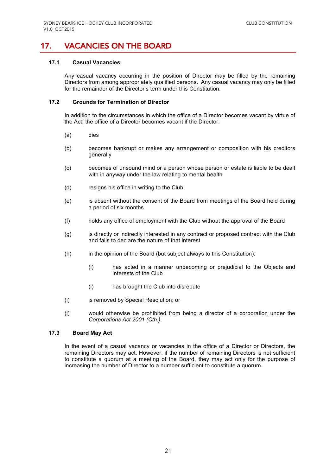# 17. VACANCIES ON THE BOARD

#### **17.1 Casual Vacancies**

Any casual vacancy occurring in the position of Director may be filled by the remaining Directors from among appropriately qualified persons. Any casual vacancy may only be filled for the remainder of the Director's term under this Constitution.

#### **17.2 Grounds for Termination of Director**

In addition to the circumstances in which the office of a Director becomes vacant by virtue of the Act, the office of a Director becomes vacant if the Director:

- (a) dies
- (b) becomes bankrupt or makes any arrangement or composition with his creditors generally
- (c) becomes of unsound mind or a person whose person or estate is liable to be dealt with in anyway under the law relating to mental health
- (d) resigns his office in writing to the Club
- (e) is absent without the consent of the Board from meetings of the Board held during a period of six months
- (f) holds any office of employment with the Club without the approval of the Board
- (g) is directly or indirectly interested in any contract or proposed contract with the Club and fails to declare the nature of that interest
- (h) in the opinion of the Board (but subject always to this Constitution):
	- (i) has acted in a manner unbecoming or prejudicial to the Objects and interests of the Club
	- (i) has brought the Club into disrepute
- (i) is removed by Special Resolution; or
- (j) would otherwise be prohibited from being a director of a corporation under the *Corporations Act 2001 (Cth.)*.

#### **17.3 Board May Act**

In the event of a casual vacancy or vacancies in the office of a Director or Directors, the remaining Directors may act. However, if the number of remaining Directors is not sufficient to constitute a quorum at a meeting of the Board, they may act only for the purpose of increasing the number of Director to a number sufficient to constitute a quorum.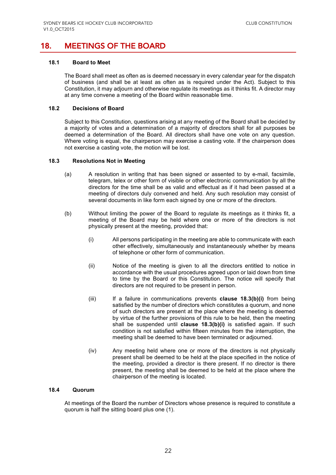# 18. MEETINGS OF THE BOARD

#### **18.1 Board to Meet**

The Board shall meet as often as is deemed necessary in every calendar year for the dispatch of business (and shall be at least as often as is required under the Act). Subject to this Constitution, it may adjourn and otherwise regulate its meetings as it thinks fit. A director may at any time convene a meeting of the Board within reasonable time.

#### **18.2 Decisions of Board**

Subject to this Constitution, questions arising at any meeting of the Board shall be decided by a majority of votes and a determination of a majority of directors shall for all purposes be deemed a determination of the Board. All directors shall have one vote on any question. Where voting is equal, the chairperson may exercise a casting vote. If the chairperson does not exercise a casting vote, the motion will be lost.

#### **18.3 Resolutions Not in Meeting**

- (a) A resolution in writing that has been signed or assented to by e-mail, facsimile, telegram, telex or other form of visible or other electronic communication by all the directors for the time shall be as valid and effectual as if it had been passed at a meeting of directors duly convened and held. Any such resolution may consist of several documents in like form each signed by one or more of the directors.
- (b) Without limiting the power of the Board to regulate its meetings as it thinks fit, a meeting of the Board may be held where one or more of the directors is not physically present at the meeting, provided that:
	- (i) All persons participating in the meeting are able to communicate with each other effectively, simultaneously and instantaneously whether by means of telephone or other form of communication.
	- (ii) Notice of the meeting is given to all the directors entitled to notice in accordance with the usual procedures agreed upon or laid down from time to time by the Board or this Constitution. The notice will specify that directors are not required to be present in person.
	- (iii) If a failure in communications prevents **clause 18.3(b)(i)** from being satisfied by the number of directors which constitutes a quorum, and none of such directors are present at the place where the meeting is deemed by virtue of the further provisions of this rule to be held, then the meeting shall be suspended until **clause 18.3(b)(i)** is satisfied again. If such condition is not satisfied within fifteen minutes from the interruption, the meeting shall be deemed to have been terminated or adjourned.
	- (iv) Any meeting held where one or more of the directors is not physically present shall be deemed to be held at the place specified in the notice of the meeting, provided a director is there present. If no director is there present, the meeting shall be deemed to be held at the place where the chairperson of the meeting is located.

#### **18.4 Quorum**

At meetings of the Board the number of Directors whose presence is required to constitute a quorum is half the sitting board plus one (1).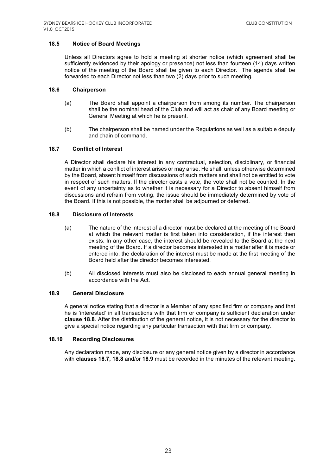#### **18.5 Notice of Board Meetings**

Unless all Directors agree to hold a meeting at shorter notice (which agreement shall be sufficiently evidenced by their apology or presence) not less than fourteen (14) days written notice of the meeting of the Board shall be given to each Director. The agenda shall be forwarded to each Director not less than two (2) days prior to such meeting.

#### **18.6 Chairperson**

- (a) The Board shall appoint a chairperson from among its number. The chairperson shall be the nominal head of the Club and will act as chair of any Board meeting or General Meeting at which he is present.
- (b) The chairperson shall be named under the Regulations as well as a suitable deputy and chain of command.

#### **18.7 Conflict of Interest**

A Director shall declare his interest in any contractual, selection, disciplinary, or financial matter in which a conflict of interest arises or may arise. He shall, unless otherwise determined by the Board, absent himself from discussions of such matters and shall not be entitled to vote in respect of such matters. If the director casts a vote, the vote shall not be counted. In the event of any uncertainty as to whether it is necessary for a Director to absent himself from discussions and refrain from voting, the issue should be immediately determined by vote of the Board. If this is not possible, the matter shall be adjourned or deferred.

#### **18.8 Disclosure of Interests**

- (a) The nature of the interest of a director must be declared at the meeting of the Board at which the relevant matter is first taken into consideration, if the interest then exists. In any other case, the interest should be revealed to the Board at the next meeting of the Board. If a director becomes interested in a matter after it is made or entered into, the declaration of the interest must be made at the first meeting of the Board held after the director becomes interested.
- (b) All disclosed interests must also be disclosed to each annual general meeting in accordance with the Act.

#### **18.9 General Disclosure**

A general notice stating that a director is a Member of any specified firm or company and that he is 'interested' in all transactions with that firm or company is sufficient declaration under **clause 18.8**. After the distribution of the general notice, it is not necessary for the director to give a special notice regarding any particular transaction with that firm or company.

#### **18.10 Recording Disclosures**

Any declaration made, any disclosure or any general notice given by a director in accordance with **clauses 18.7, 18.8** and/or **18.9** must be recorded in the minutes of the relevant meeting.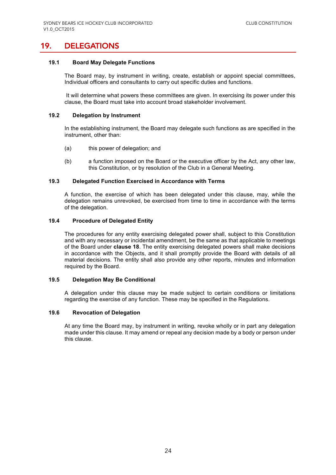### 19. DELEGATIONS

#### **19.1 Board May Delegate Functions**

The Board may, by instrument in writing, create, establish or appoint special committees, Individual officers and consultants to carry out specific duties and functions.

It will determine what powers these committees are given. In exercising its power under this clause, the Board must take into account broad stakeholder involvement.

#### **19.2 Delegation by Instrument**

In the establishing instrument, the Board may delegate such functions as are specified in the instrument, other than:

- (a) this power of delegation; and
- (b) a function imposed on the Board or the executive officer by the Act, any other law, this Constitution, or by resolution of the Club in a General Meeting.

#### **19.3 Delegated Function Exercised in Accordance with Terms**

A function, the exercise of which has been delegated under this clause, may, while the delegation remains unrevoked, be exercised from time to time in accordance with the terms of the delegation.

#### **19.4 Procedure of Delegated Entity**

The procedures for any entity exercising delegated power shall, subject to this Constitution and with any necessary or incidental amendment, be the same as that applicable to meetings of the Board under **clause 18**. The entity exercising delegated powers shall make decisions in accordance with the Objects, and it shall promptly provide the Board with details of all material decisions. The entity shall also provide any other reports, minutes and information required by the Board.

#### **19.5 Delegation May Be Conditional**

A delegation under this clause may be made subject to certain conditions or limitations regarding the exercise of any function. These may be specified in the Regulations.

#### **19.6 Revocation of Delegation**

At any time the Board may, by instrument in writing, revoke wholly or in part any delegation made under this clause. It may amend or repeal any decision made by a body or person under this clause.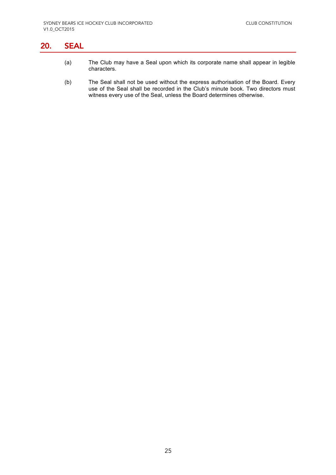# 20. SEAL

- (a) The Club may have a Seal upon which its corporate name shall appear in legible characters.
- (b) The Seal shall not be used without the express authorisation of the Board. Every use of the Seal shall be recorded in the Club's minute book. Two directors must witness every use of the Seal, unless the Board determines otherwise.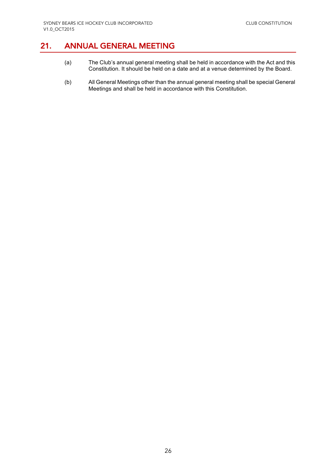# 21. ANNUAL GENERAL MEETING

- (a) The Club's annual general meeting shall be held in accordance with the Act and this Constitution. It should be held on a date and at a venue determined by the Board.
- (b) All General Meetings other than the annual general meeting shall be special General Meetings and shall be held in accordance with this Constitution.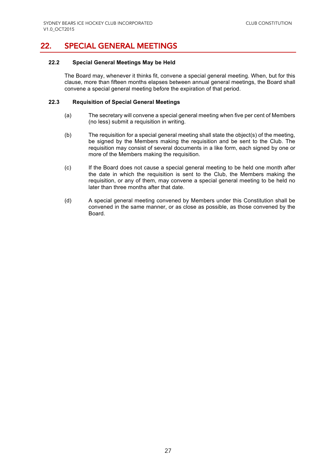# 22. SPECIAL GENERAL MEETINGS

#### **22.2 Special General Meetings May be Held**

The Board may, whenever it thinks fit, convene a special general meeting. When, but for this clause, more than fifteen months elapses between annual general meetings, the Board shall convene a special general meeting before the expiration of that period.

#### **22.3 Requisition of Special General Meetings**

- (a) The secretary will convene a special general meeting when five per cent of Members (no less) submit a requisition in writing.
- (b) The requisition for a special general meeting shall state the object(s) of the meeting, be signed by the Members making the requisition and be sent to the Club. The requisition may consist of several documents in a like form, each signed by one or more of the Members making the requisition.
- (c) If the Board does not cause a special general meeting to be held one month after the date in which the requisition is sent to the Club, the Members making the requisition, or any of them, may convene a special general meeting to be held no later than three months after that date.
- (d) A special general meeting convened by Members under this Constitution shall be convened in the same manner, or as close as possible, as those convened by the Board.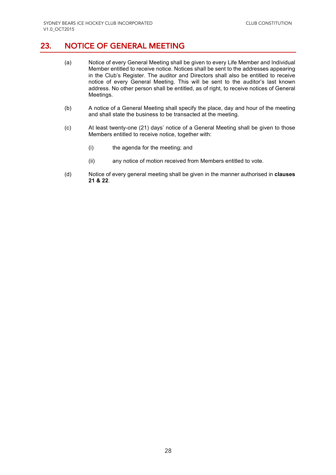# 23. NOTICE OF GENERAL MEETING

- (a) Notice of every General Meeting shall be given to every Life Member and Individual Member entitled to receive notice. Notices shall be sent to the addresses appearing in the Club's Register. The auditor and Directors shall also be entitled to receive notice of every General Meeting. This will be sent to the auditor's last known address. No other person shall be entitled, as of right, to receive notices of General Meetings.
- (b) A notice of a General Meeting shall specify the place, day and hour of the meeting and shall state the business to be transacted at the meeting.
- (c) At least twenty-one (21) days' notice of a General Meeting shall be given to those Members entitled to receive notice, together with:
	- (i) the agenda for the meeting; and
	- (ii) any notice of motion received from Members entitled to vote.
- (d) Notice of every general meeting shall be given in the manner authorised in **clauses 21 & 22**.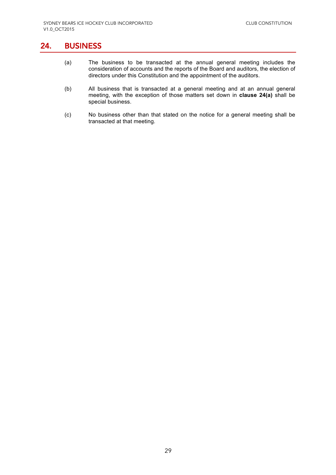### 24. BUSINESS

- (a) The business to be transacted at the annual general meeting includes the consideration of accounts and the reports of the Board and auditors, the election of directors under this Constitution and the appointment of the auditors.
- (b) All business that is transacted at a general meeting and at an annual general meeting, with the exception of those matters set down in **clause 24(a)** shall be special business.
- (c) No business other than that stated on the notice for a general meeting shall be transacted at that meeting.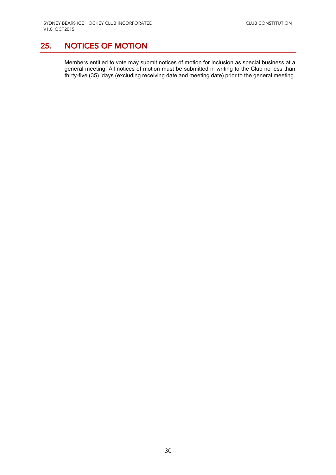# 25. NOTICES OF MOTION

Members entitled to vote may submit notices of motion for inclusion as special business at a general meeting. All notices of motion must be submitted in writing to the Club no less than thirty-five (35) days (excluding receiving date and meeting date) prior to the general meeting.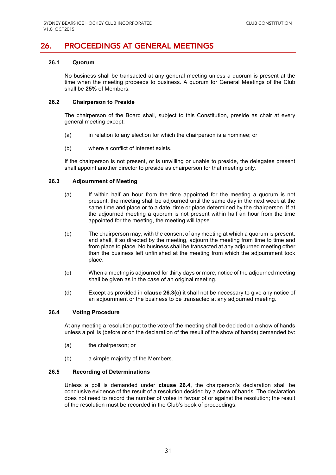# 26. PROCEEDINGS AT GENERAL MEETINGS

#### **26.1 Quorum**

No business shall be transacted at any general meeting unless a quorum is present at the time when the meeting proceeds to business. A quorum for General Meetings of the Club shall be **25%** of Members.

#### **26.2 Chairperson to Preside**

The chairperson of the Board shall, subject to this Constitution, preside as chair at every general meeting except:

- (a) in relation to any election for which the chairperson is a nominee; or
- (b) where a conflict of interest exists.

If the chairperson is not present, or is unwilling or unable to preside, the delegates present shall appoint another director to preside as chairperson for that meeting only.

#### **26.3 Adjournment of Meeting**

- (a) If within half an hour from the time appointed for the meeting a quorum is not present, the meeting shall be adjourned until the same day in the next week at the same time and place or to a date, time or place determined by the chairperson. If at the adjourned meeting a quorum is not present within half an hour from the time appointed for the meeting, the meeting will lapse.
- (b) The chairperson may, with the consent of any meeting at which a quorum is present, and shall, if so directed by the meeting, adjourn the meeting from time to time and from place to place. No business shall be transacted at any adjourned meeting other than the business left unfinished at the meeting from which the adjournment took place.
- (c) When a meeting is adjourned for thirty days or more, notice of the adjourned meeting shall be given as in the case of an original meeting.
- (d) Except as provided in **clause 26.3(c)** it shall not be necessary to give any notice of an adjournment or the business to be transacted at any adjourned meeting.

#### **26.4 Voting Procedure**

At any meeting a resolution put to the vote of the meeting shall be decided on a show of hands unless a poll is (before or on the declaration of the result of the show of hands) demanded by:

- (a) the chairperson; or
- (b) a simple majority of the Members.

#### **26.5 Recording of Determinations**

Unless a poll is demanded under **clause 26.4**, the chairperson's declaration shall be conclusive evidence of the result of a resolution decided by a show of hands. The declaration does not need to record the number of votes in favour of or against the resolution; the result of the resolution must be recorded in the Club's book of proceedings.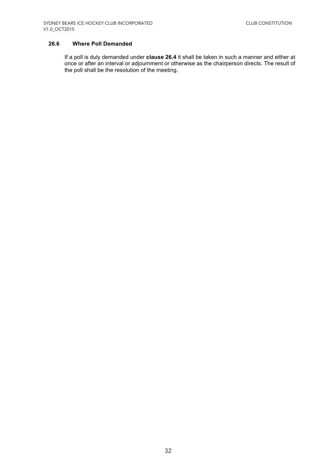#### **26.6 Where Poll Demanded**

If a poll is duly demanded under **clause 26.4** it shall be taken in such a manner and either at once or after an interval or adjournment or otherwise as the chairperson directs. The result of the poll shall be the resolution of the meeting.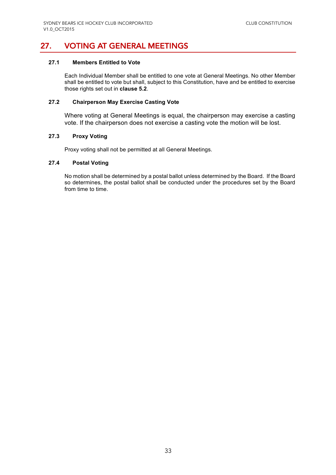# 27. VOTING AT GENERAL MEETINGS

#### **27.1 Members Entitled to Vote**

Each Individual Member shall be entitled to one vote at General Meetings. No other Member shall be entitled to vote but shall, subject to this Constitution, have and be entitled to exercise those rights set out in **clause 5.2**.

#### **27.2 Chairperson May Exercise Casting Vote**

Where voting at General Meetings is equal, the chairperson may exercise a casting vote. If the chairperson does not exercise a casting vote the motion will be lost.

#### **27.3 Proxy Voting**

Proxy voting shall not be permitted at all General Meetings.

#### **27.4 Postal Voting**

No motion shall be determined by a postal ballot unless determined by the Board. If the Board so determines, the postal ballot shall be conducted under the procedures set by the Board from time to time.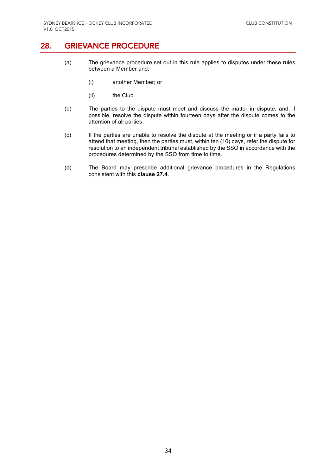### 28. GRIEVANCE PROCEDURE

- (a) The grievance procedure set out in this rule applies to disputes under these rules between a Member and:
	- (i) another Member; or
	- (ii) the Club.
- (b) The parties to the dispute must meet and discuss the matter in dispute, and, if possible, resolve the dispute within fourteen days after the dispute comes to the attention of all parties.
- (c) If the parties are unable to resolve the dispute at the meeting or if a party fails to attend that meeting, then the parties must, within ten (10) days, refer the dispute for resolution to an independent tribunal established by the SSO in accordance with the procedures determined by the SSO from time to time.
- (d) The Board may prescribe additional grievance procedures in the Regulations consistent with this **clause 27.4**.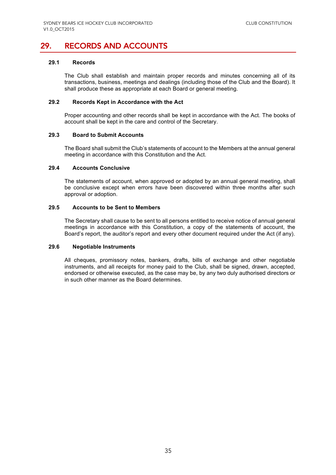# 29. RECORDS AND ACCOUNTS

#### **29.1 Records**

The Club shall establish and maintain proper records and minutes concerning all of its transactions, business, meetings and dealings (including those of the Club and the Board). It shall produce these as appropriate at each Board or general meeting.

#### **29.2 Records Kept in Accordance with the Act**

Proper accounting and other records shall be kept in accordance with the Act. The books of account shall be kept in the care and control of the Secretary.

#### **29.3 Board to Submit Accounts**

The Board shall submit the Club's statements of account to the Members at the annual general meeting in accordance with this Constitution and the Act.

#### **29.4 Accounts Conclusive**

The statements of account, when approved or adopted by an annual general meeting, shall be conclusive except when errors have been discovered within three months after such approval or adoption.

#### **29.5 Accounts to be Sent to Members**

The Secretary shall cause to be sent to all persons entitled to receive notice of annual general meetings in accordance with this Constitution, a copy of the statements of account, the Board's report, the auditor's report and every other document required under the Act (if any).

#### **29.6 Negotiable Instruments**

All cheques, promissory notes, bankers, drafts, bills of exchange and other negotiable instruments, and all receipts for money paid to the Club, shall be signed, drawn, accepted, endorsed or otherwise executed, as the case may be, by any two duly authorised directors or in such other manner as the Board determines.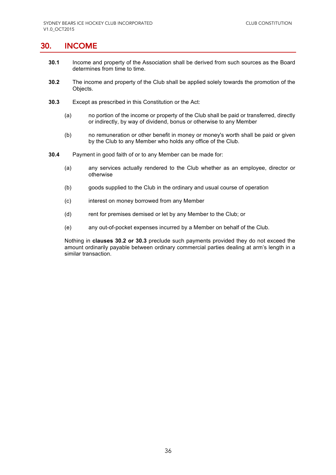### 30. INCOME

- **30.1** Income and property of the Association shall be derived from such sources as the Board determines from time to time.
- **30.2** The income and property of the Club shall be applied solely towards the promotion of the Objects.
- **30.3** Except as prescribed in this Constitution or the Act:
	- (a) no portion of the income or property of the Club shall be paid or transferred, directly or indirectly, by way of dividend, bonus or otherwise to any Member
	- (b) no remuneration or other benefit in money or money's worth shall be paid or given by the Club to any Member who holds any office of the Club.
- **30.4** Payment in good faith of or to any Member can be made for:
	- (a) any services actually rendered to the Club whether as an employee, director or otherwise
	- (b) goods supplied to the Club in the ordinary and usual course of operation
	- (c) interest on money borrowed from any Member
	- (d) rent for premises demised or let by any Member to the Club; or
	- (e) any out-of-pocket expenses incurred by a Member on behalf of the Club.

Nothing in **clauses 30.2 or 30.3** preclude such payments provided they do not exceed the amount ordinarily payable between ordinary commercial parties dealing at arm's length in a similar transaction.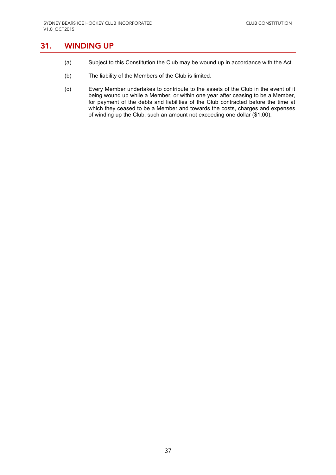## 31. WINDING UP

- (a) Subject to this Constitution the Club may be wound up in accordance with the Act.
- (b) The liability of the Members of the Club is limited.
- (c) Every Member undertakes to contribute to the assets of the Club in the event of it being wound up while a Member, or within one year after ceasing to be a Member, for payment of the debts and liabilities of the Club contracted before the time at which they ceased to be a Member and towards the costs, charges and expenses of winding up the Club, such an amount not exceeding one dollar (\$1.00).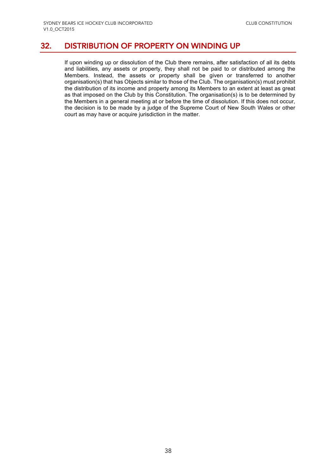# 32. DISTRIBUTION OF PROPERTY ON WINDING UP

If upon winding up or dissolution of the Club there remains, after satisfaction of all its debts and liabilities, any assets or property, they shall not be paid to or distributed among the Members. Instead, the assets or property shall be given or transferred to another organisation(s) that has Objects similar to those of the Club. The organisation(s) must prohibit the distribution of its income and property among its Members to an extent at least as great as that imposed on the Club by this Constitution. The organisation(s) is to be determined by the Members in a general meeting at or before the time of dissolution. If this does not occur, the decision is to be made by a judge of the Supreme Court of New South Wales or other court as may have or acquire jurisdiction in the matter.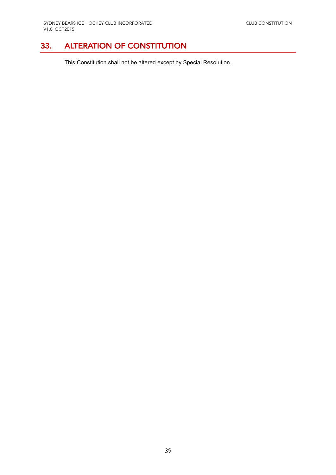# 33. ALTERATION OF CONSTITUTION

This Constitution shall not be altered except by Special Resolution.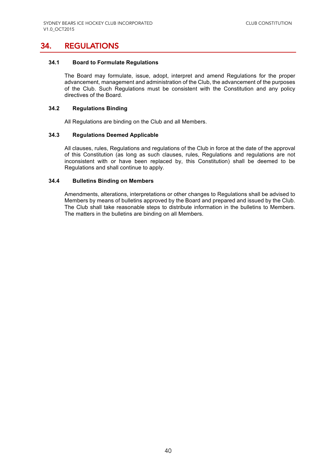### 34. REGULATIONS

#### **34.1 Board to Formulate Regulations**

The Board may formulate, issue, adopt, interpret and amend Regulations for the proper advancement, management and administration of the Club, the advancement of the purposes of the Club. Such Regulations must be consistent with the Constitution and any policy directives of the Board.

#### **34.2 Regulations Binding**

All Regulations are binding on the Club and all Members.

#### **34.3 Regulations Deemed Applicable**

All clauses, rules, Regulations and regulations of the Club in force at the date of the approval of this Constitution (as long as such clauses, rules, Regulations and regulations are not inconsistent with or have been replaced by, this Constitution) shall be deemed to be Regulations and shall continue to apply.

#### **34.4 Bulletins Binding on Members**

Amendments, alterations, interpretations or other changes to Regulations shall be advised to Members by means of bulletins approved by the Board and prepared and issued by the Club. The Club shall take reasonable steps to distribute information in the bulletins to Members. The matters in the bulletins are binding on all Members.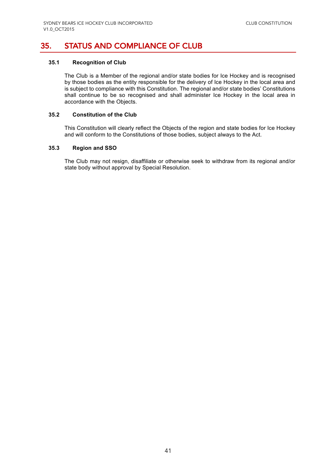# 35. STATUS AND COMPLIANCE OF CLUB

#### **35.1 Recognition of Club**

The Club is a Member of the regional and/or state bodies for Ice Hockey and is recognised by those bodies as the entity responsible for the delivery of Ice Hockey in the local area and is subject to compliance with this Constitution. The regional and/or state bodies' Constitutions shall continue to be so recognised and shall administer Ice Hockey in the local area in accordance with the Objects.

#### **35.2 Constitution of the Club**

This Constitution will clearly reflect the Objects of the region and state bodies for Ice Hockey and will conform to the Constitutions of those bodies, subject always to the Act.

#### **35.3 Region and SSO**

The Club may not resign, disaffiliate or otherwise seek to withdraw from its regional and/or state body without approval by Special Resolution.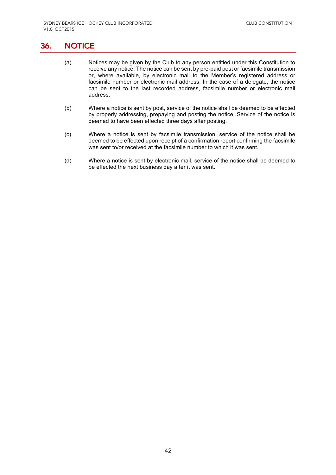### 36. NOTICE

- (a) Notices may be given by the Club to any person entitled under this Constitution to receive any notice. The notice can be sent by pre-paid post or facsimile transmission or, where available, by electronic mail to the Member's registered address or facsimile number or electronic mail address. In the case of a delegate, the notice can be sent to the last recorded address, facsimile number or electronic mail address.
- (b) Where a notice is sent by post, service of the notice shall be deemed to be effected by properly addressing, prepaying and posting the notice. Service of the notice is deemed to have been effected three days after posting.
- (c) Where a notice is sent by facsimile transmission, service of the notice shall be deemed to be effected upon receipt of a confirmation report confirming the facsimile was sent to/or received at the facsimile number to which it was sent.
- (d) Where a notice is sent by electronic mail, service of the notice shall be deemed to be effected the next business day after it was sent.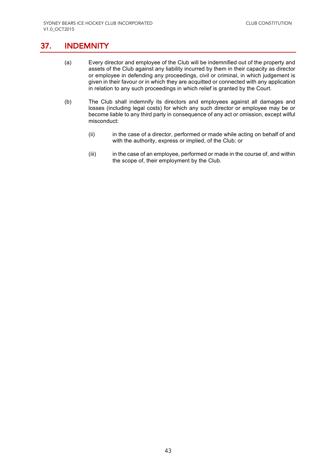# 37. INDEMNITY

- (a) Every director and employee of the Club will be indemnified out of the property and assets of the Club against any liability incurred by them in their capacity as director or employee in defending any proceedings, civil or criminal, in which judgement is given in their favour or in which they are acquitted or connected with any application in relation to any such proceedings in which relief is granted by the Court.
- (b) The Club shall indemnify its directors and employees against all damages and losses (including legal costs) for which any such director or employee may be or become liable to any third party in consequence of any act or omission, except wilful misconduct:
	- (ii) in the case of a director, performed or made while acting on behalf of and with the authority, express or implied, of the Club; or
	- (iii) in the case of an employee, performed or made in the course of, and within the scope of, their employment by the Club.